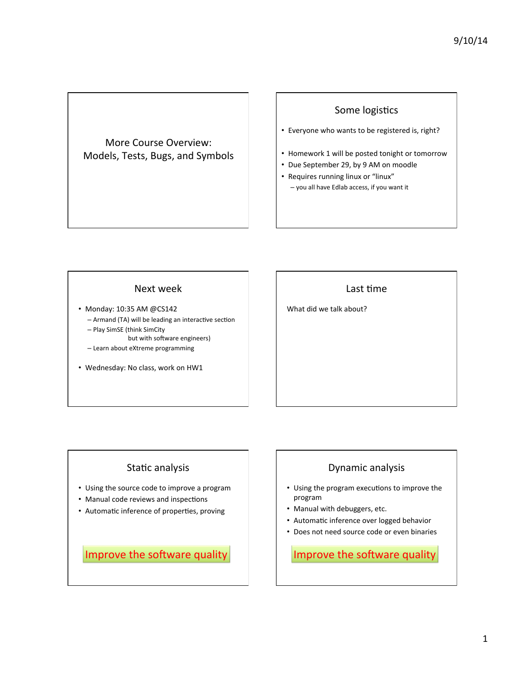#### More Course Overview: Models, Tests, Bugs, and Symbols

## Some logistics

- Everyone who wants to be registered is, right?
- Homework 1 will be posted tonight or tomorrow
- Due September 29, by 9 AM on moodle
- Requires running linux or "linux" - you all have Edlab access, if you want it

#### Next week

- Monday: 10:35 AM @CS142  $-$  Armand (TA) will be leading an interactive section – Play SimSE (think SimCity
	- but with software engineers) - Learn about eXtreme programming
- 
- Wednesday: No class, work on HW1

## Last time

What did we talk about?

## Static analysis

- Using the source code to improve a program
- Manual code reviews and inspections
- Automatic inference of properties, proving

Improve the software quality

## Dynamic analysis

- Using the program executions to improve the program
- Manual with debuggers, etc.
- Automatic inference over logged behavior
- Does not need source code or even binaries

Improve the software quality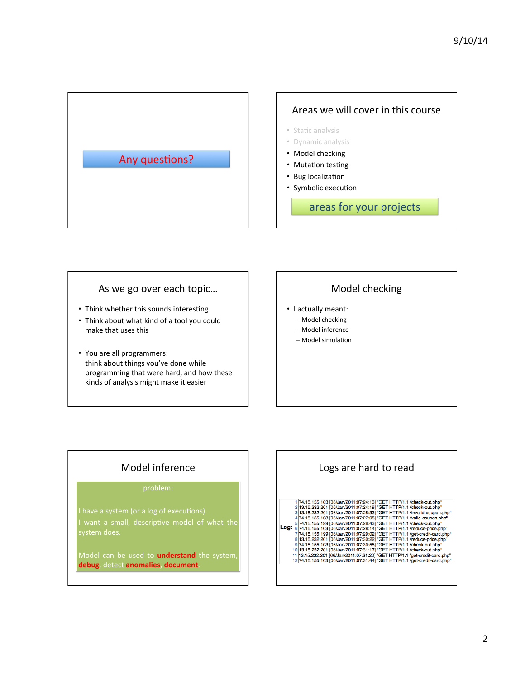

#### As we go over each topic...

- Think whether this sounds interesting
- Think about what kind of a tool you could make that uses this
- You are all programmers: think about things you've done while programming that were hard, and how these kinds of analysis might make it easier

## Model checking

- I actually meant:
	- Model checking
	- Model inference
	- Model simulation

## Model inference

#### problem:

Model can be used to **understand** the system, **debug**, detect **anomalies**, **document**.

# Logs are hard to read 174.15.155.103 [06/Jan/2011:07:24:19] "GET HTTP/1.1 /check-out.php"<br>
213.15.232.201 [06/Jan/2011:07:24:19] "GET HTTP/1.1 /check-out.php"<br>
313.15.232.201 [06/Jan/2011:07:25:33] "GET HTTP/1.1 /check-out.php"<br>
474.15.155.103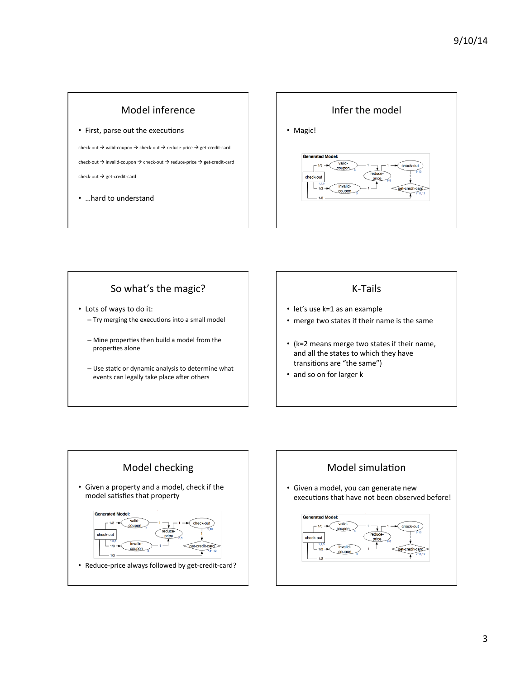



## So what's the magic?

- Lots of ways to do it:  $-$  Try merging the executions into a small model
	- Mine properties then build a model from the properties alone
	- $-$  Use static or dynamic analysis to determine what events can legally take place after others

## K-Tails

- let's use k=1 as an example
- merge two states if their name is the same
- (k=2 means merge two states if their name, and all the states to which they have transitions are "the same")
- and so on for larger k



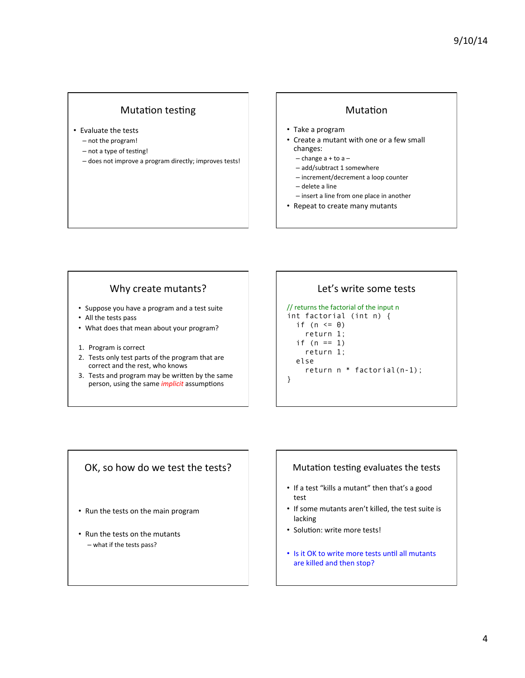#### Mutation testing

- Evaluate the tests
	- $-$  not the program!
	- not a type of testing!
	- does not improve a program directly; improves tests!

#### Mutation

- Take a program
- Create a mutant with one or a few small changes:
	- $-$  change  $a + to a -$
	- add/subtract 1 somewhere
	- increment/decrement a loop counter
	- delete a line
- $-$  insert a line from one place in another
- Repeat to create many mutants

#### Why create mutants?

- Suppose you have a program and a test suite
- All the tests pass
- What does that mean about your program?
- 1. Program is correct
- 2. Tests only test parts of the program that are correct and the rest, who knows
- 3. Tests and program may be written by the same person, using the same *implicit* assumptions

#### Let's write some tests

#### // returns the factorial of the input n

int factorial (int n) { if ( $n \leq 0$ ) return 1; if  $(n == 1)$  return 1; else return n \* factorial(n-1); }

#### OK, so how do we test the tests?

- Run the tests on the main program
- Run the tests on the mutants  $-$  what if the tests pass?

#### Mutation testing evaluates the tests

- If a test "kills a mutant" then that's a good test
- If some mutants aren't killed, the test suite is lacking
- Solution: write more tests!
- Is it OK to write more tests until all mutants are killed and then stop?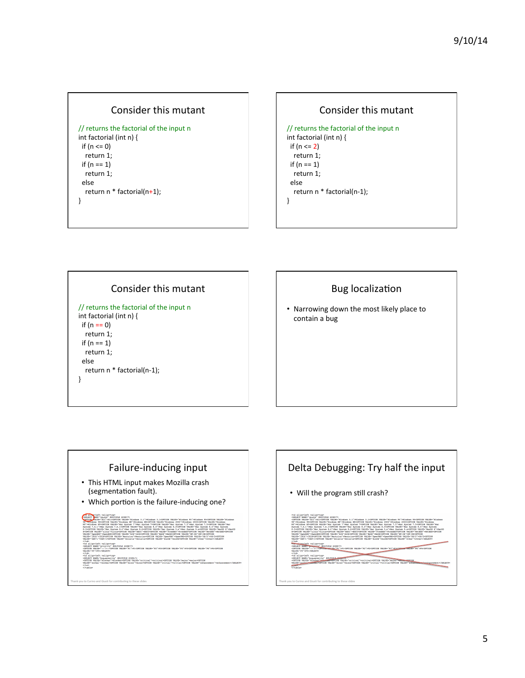#### Consider this mutant

```
// returns the factorial of the input n
int factorial (int n) {
if (n \leq 0)return 1;
 if (n == 1)return 1;
 		else	
  return n * factorial(n+1);
}
```




## **Bug** localization

• Narrowing down the most likely place to contain a bug



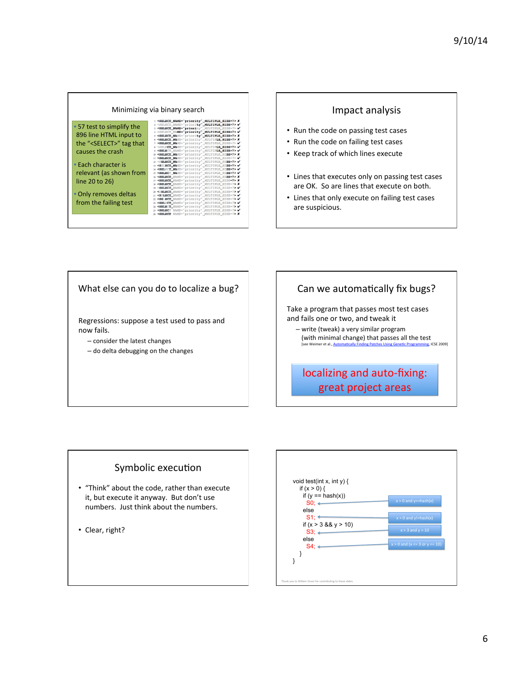#### Minimizing via binary search

| • 57 test to simplify the         |
|-----------------------------------|
| 896 line HTML input to            |
| the " <select>" tag that</select> |
| causes the crash                  |

**Each character is** relevant (as shown from line 20 to 26)

**Only removes deltas** from the failing test

| : <select_name="priority"_multiple_size=7> X</select_name="priority"_multiple_size=7>  |
|----------------------------------------------------------------------------------------|
| 2 <select multiple="" name="priority" size="7"> V</select>                             |
| 3 <select multiple="" name="priority" size="7"> V</select>                             |
| 4 <select multiple="" name="priority" size="7"> V</select>                             |
| S <select_name="priority"_multiple_size=7> X</select_name="priority"_multiple_size=7>  |
| 6 <select multiple="" name="priority" size="7"> X</select>                             |
| 7 <select_name="priority"_multiple_size=7> V</select_name="priority"_multiple_size=7>  |
| 8 <select_name="priority"_multiple_size=7> V</select_name="priority"_multiple_size=7>  |
| 9 <select_name="priority"_multiple_size=7> V</select_name="priority"_multiple_size=7>  |
| 10 <select_name="priority"_multiple_size=7> X</select_name="priority"_multiple_size=7> |
| 11 <select multiple="" name="priority" size="7"> V</select>                            |
| 12 <select_name="priority"_multiple_size=7> V</select_name="priority"_multiple_size=7> |
| 13 <select multiple="" name="priority" size="7"> V</select>                            |
| 14 <select multiple="" name="priority" size="7"> V</select>                            |
| 15 <select_name="priority" multiple="" size="7"> V</select_name="priority">            |
| 16 <select multiple="" name="priority" size="7"> X</select>                            |
| 17 <select_name="priority"_multiple_size=7> X</select_name="priority"_multiple_size=7> |
| 18 <select_name="priority"_multiple_size=7> X</select_name="priority"_multiple_size=7> |
| 19 <select multiple="" name="priority" size="7"> V</select>                            |
| 20 <select_name="priority"_multiple_size=7> V</select_name="priority"_multiple_size=7> |
| 21 <select_name="priority"_multiple_size=7> V</select_name="priority"_multiple_size=7> |
| 22 <select multiple="" name="priority" size="7"> V</select>                            |
| 23 <select_name="priority"_multiple_size=7> V</select_name="priority"_multiple_size=7> |
| 24 <select_name="priority"_multiple_size=7> V</select_name="priority"_multiple_size=7> |
| 25 <select multiple="" name="priority" size="7"> V</select>                            |
| 26 <select multiple="" name="priority" size="7"> X</select>                            |

#### Impact analysis

- Run the code on passing test cases
- Run the code on failing test cases
- Keep track of which lines execute
- Lines that executes only on passing test cases are OK. So are lines that execute on both.
- Lines that only execute on failing test cases are suspicious.

#### What else can you do to localize a bug?

Regressions: suppose a test used to pass and now fails. 

- consider the latest changes
- do delta debugging on the changes

## Can we automatically fix bugs?

Take a program that passes most test cases and fails one or two, and tweak it

- write (tweak) a very similar program (with minimal change) that passes all the test  $\frac{8}{10}$  icse 2009]

## localizing and auto-fixing: great project areas

#### Symbolic execution

- "Think" about the code, rather than execute it, but execute it anyway. But don't use numbers. Just think about the numbers.
- Clear, right?